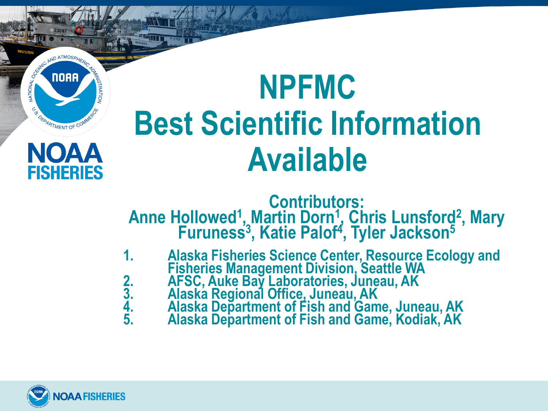## **NPFMC Best Scientific Information Available**

**Contributors:** Anne Hollowed<sup>1</sup>, Martin Dorn<sup>1</sup>, Chris Lunsford<sup>2</sup>, Mary Furuness<sup>3</sup>, Katie Palof<sup>4</sup>, Tyler Jackson<sup>5</sup>

- **1. Alaska Fisheries Science Center, Resource Ecology and**  Fisheries Management Division, Seattle WA<br>2. AFSC, Auke Bay Laboratories, Juneau, AK<br>3. Alaska Regional Office, Juneau, AK<br>4. Alaska Department of Fish and Game, Juneau, AK<br>5. Alaska Depa
	-
	-
	-



NATIONAL OCEAN

**NOAA** 

OFPARTMENT OF COM

NOAA

**FISHERIES**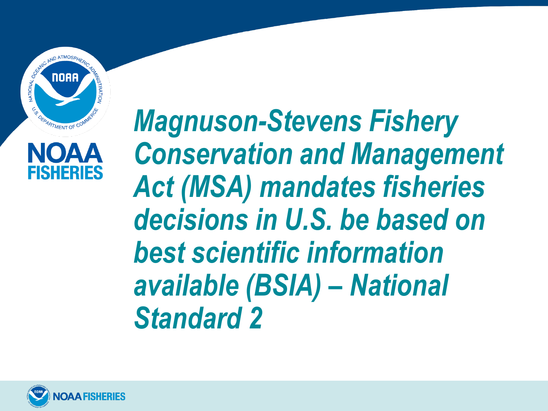



#### *Magnuson-Stevens Fishery Conservation and Management Act (MSA) mandates fisheries decisions in U.S. be based on best scientific information available (BSIA) – National Standard 2*

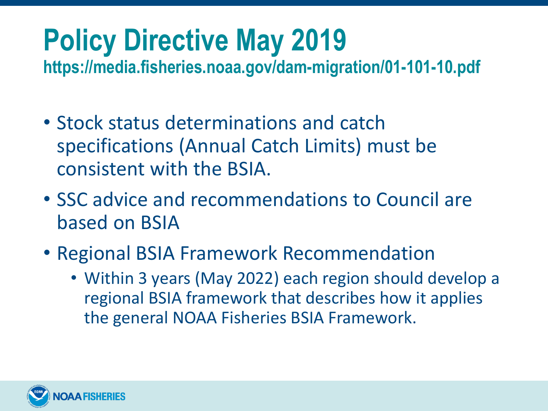# **Policy Directive May 2019**

**https://media.fisheries.noaa.gov/dam-migration/01-101-10.pdf**

- Stock status determinations and catch specifications (Annual Catch Limits) must be consistent with the BSIA.
- SSC advice and recommendations to Council are based on BSIA
- Regional BSIA Framework Recommendation
	- Within 3 years (May 2022) each region should develop a regional BSIA framework that describes how it applies the general NOAA Fisheries BSIA Framework.

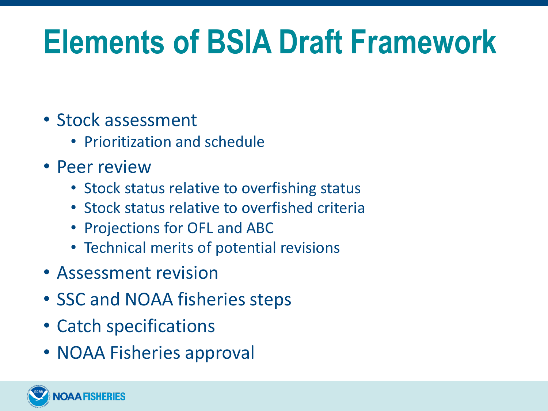# **Elements of BSIA Draft Framework**

- Stock assessment
	- Prioritization and schedule
- Peer review
	- Stock status relative to overfishing status
	- Stock status relative to overfished criteria
	- Projections for OFL and ABC
	- Technical merits of potential revisions
- Assessment revision
- SSC and NOAA fisheries steps
- Catch specifications
- NOAA Fisheries approval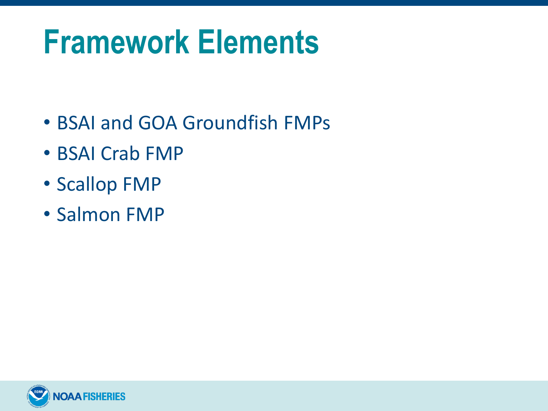# **Framework Elements**

- BSAI and GOA Groundfish FMPs
- BSAI Crab FMP
- Scallop FMP
- Salmon FMP